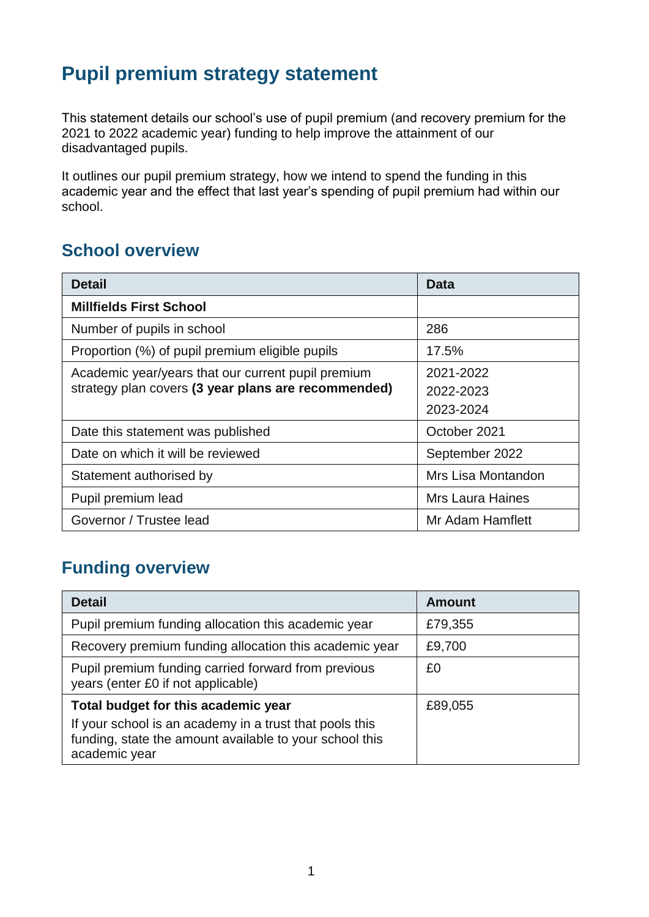# **Pupil premium strategy statement**

This statement details our school's use of pupil premium (and recovery premium for the 2021 to 2022 academic year) funding to help improve the attainment of our disadvantaged pupils.

It outlines our pupil premium strategy, how we intend to spend the funding in this academic year and the effect that last year's spending of pupil premium had within our school.

#### **School overview**

| <b>Detail</b>                                                                                             | <b>Data</b>                         |
|-----------------------------------------------------------------------------------------------------------|-------------------------------------|
| <b>Millfields First School</b>                                                                            |                                     |
| Number of pupils in school                                                                                | 286                                 |
| Proportion (%) of pupil premium eligible pupils                                                           | 17.5%                               |
| Academic year/years that our current pupil premium<br>strategy plan covers (3 year plans are recommended) | 2021-2022<br>2022-2023<br>2023-2024 |
| Date this statement was published                                                                         | October 2021                        |
| Date on which it will be reviewed                                                                         | September 2022                      |
| Statement authorised by                                                                                   | Mrs Lisa Montandon                  |
| Pupil premium lead                                                                                        | <b>Mrs Laura Haines</b>             |
| Governor / Trustee lead                                                                                   | Mr Adam Hamflett                    |

## **Funding overview**

| <b>Detail</b>                                                                                                                       | <b>Amount</b> |
|-------------------------------------------------------------------------------------------------------------------------------------|---------------|
| Pupil premium funding allocation this academic year                                                                                 | £79,355       |
| Recovery premium funding allocation this academic year                                                                              | £9,700        |
| Pupil premium funding carried forward from previous<br>years (enter £0 if not applicable)                                           | £0            |
| Total budget for this academic year                                                                                                 | £89,055       |
| If your school is an academy in a trust that pools this<br>funding, state the amount available to your school this<br>academic year |               |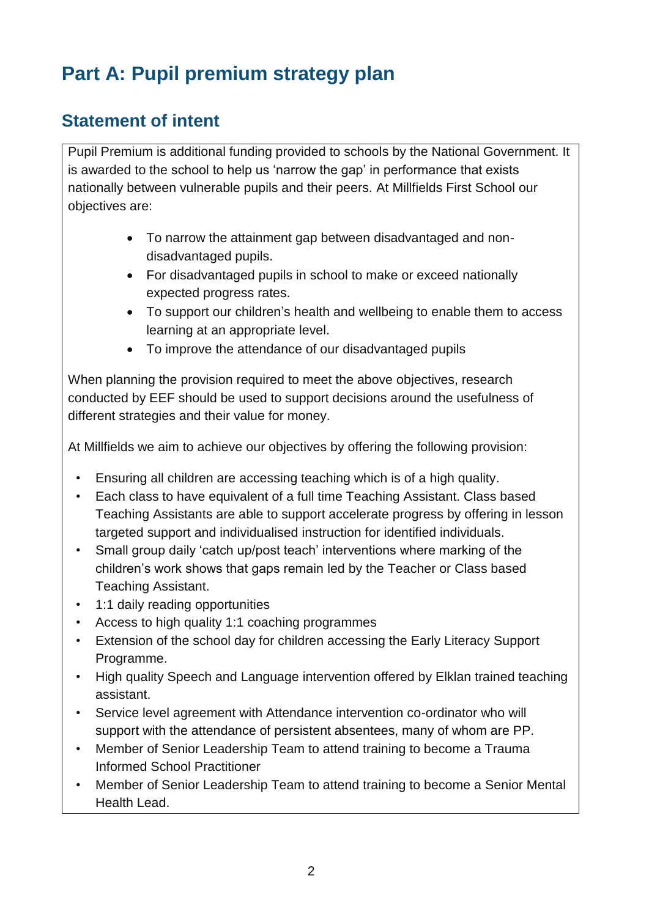# **Part A: Pupil premium strategy plan**

## **Statement of intent**

Pupil Premium is additional funding provided to schools by the National Government. It is awarded to the school to help us 'narrow the gap' in performance that exists nationally between vulnerable pupils and their peers. At Millfields First School our objectives are:

- To narrow the attainment gap between disadvantaged and nondisadvantaged pupils.
- For disadvantaged pupils in school to make or exceed nationally expected progress rates.
- To support our children's health and wellbeing to enable them to access learning at an appropriate level.
- To improve the attendance of our disadvantaged pupils

When planning the provision required to meet the above objectives, research conducted by EEF should be used to support decisions around the usefulness of different strategies and their value for money.

At Millfields we aim to achieve our objectives by offering the following provision:

- Ensuring all children are accessing teaching which is of a high quality.
- Each class to have equivalent of a full time Teaching Assistant. Class based Teaching Assistants are able to support accelerate progress by offering in lesson targeted support and individualised instruction for identified individuals.
- Small group daily 'catch up/post teach' interventions where marking of the children's work shows that gaps remain led by the Teacher or Class based Teaching Assistant.
- 1:1 daily reading opportunities
- Access to high quality 1:1 coaching programmes
- Extension of the school day for children accessing the Early Literacy Support Programme.
- High quality Speech and Language intervention offered by Elklan trained teaching assistant.
- Service level agreement with Attendance intervention co-ordinator who will support with the attendance of persistent absentees, many of whom are PP.
- Member of Senior Leadership Team to attend training to become a Trauma Informed School Practitioner
- Member of Senior Leadership Team to attend training to become a Senior Mental Health Lead.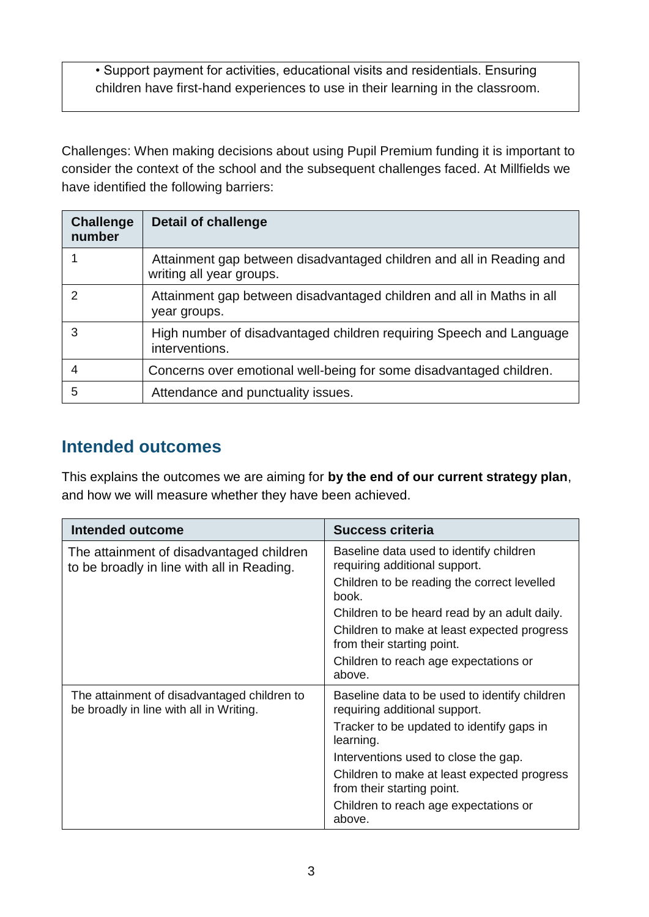• Support payment for activities, educational visits and residentials. Ensuring children have first-hand experiences to use in their learning in the classroom.

Challenges: When making decisions about using Pupil Premium funding it is important to consider the context of the school and the subsequent challenges faced. At Millfields we have identified the following barriers:

| <b>Challenge</b><br>number | <b>Detail of challenge</b>                                                                       |
|----------------------------|--------------------------------------------------------------------------------------------------|
|                            | Attainment gap between disadvantaged children and all in Reading and<br>writing all year groups. |
| 2                          | Attainment gap between disadvantaged children and all in Maths in all<br>year groups.            |
| 3                          | High number of disadvantaged children requiring Speech and Language<br>interventions.            |
| 4                          | Concerns over emotional well-being for some disadvantaged children.                              |
| 5                          | Attendance and punctuality issues.                                                               |

#### **Intended outcomes**

This explains the outcomes we are aiming for **by the end of our current strategy plan**, and how we will measure whether they have been achieved.

| Intended outcome                                                                       | <b>Success criteria</b>                                                        |
|----------------------------------------------------------------------------------------|--------------------------------------------------------------------------------|
| The attainment of disadvantaged children<br>to be broadly in line with all in Reading. | Baseline data used to identify children<br>requiring additional support.       |
|                                                                                        | Children to be reading the correct levelled<br>book.                           |
|                                                                                        | Children to be heard read by an adult daily.                                   |
|                                                                                        | Children to make at least expected progress<br>from their starting point.      |
|                                                                                        | Children to reach age expectations or<br>above.                                |
| The attainment of disadvantaged children to<br>be broadly in line with all in Writing. | Baseline data to be used to identify children<br>requiring additional support. |
|                                                                                        | Tracker to be updated to identify gaps in<br>learning.                         |
|                                                                                        | Interventions used to close the gap.                                           |
|                                                                                        | Children to make at least expected progress<br>from their starting point.      |
|                                                                                        | Children to reach age expectations or<br>above.                                |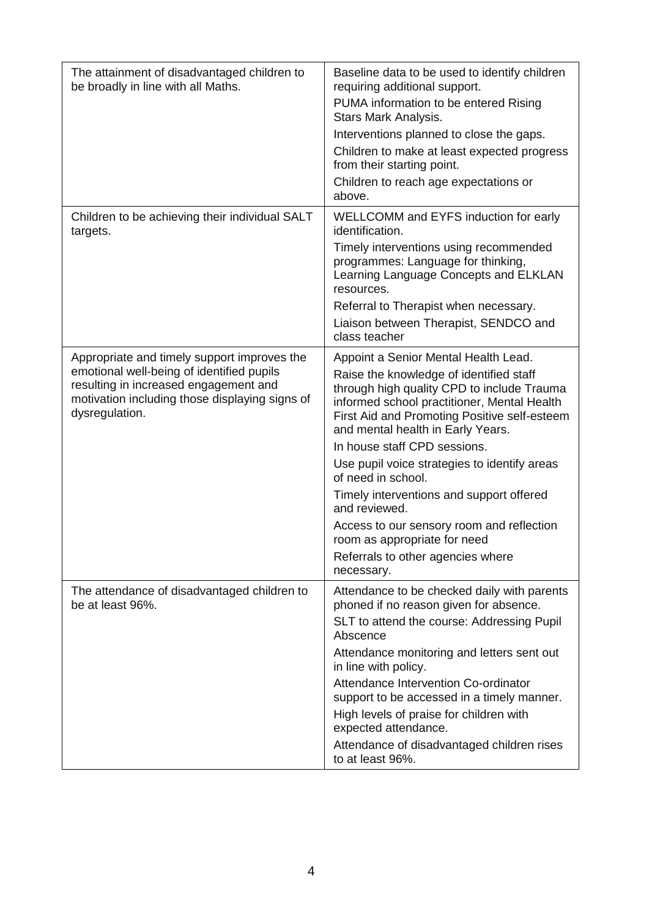| The attainment of disadvantaged children to<br>be broadly in line with all Maths.                                                                      | Baseline data to be used to identify children<br>requiring additional support.                                                                                                                                            |
|--------------------------------------------------------------------------------------------------------------------------------------------------------|---------------------------------------------------------------------------------------------------------------------------------------------------------------------------------------------------------------------------|
|                                                                                                                                                        | PUMA information to be entered Rising<br>Stars Mark Analysis.                                                                                                                                                             |
|                                                                                                                                                        | Interventions planned to close the gaps.                                                                                                                                                                                  |
|                                                                                                                                                        | Children to make at least expected progress<br>from their starting point.                                                                                                                                                 |
|                                                                                                                                                        | Children to reach age expectations or<br>above.                                                                                                                                                                           |
| Children to be achieving their individual SALT<br>targets.                                                                                             | WELLCOMM and EYFS induction for early<br>identification.                                                                                                                                                                  |
|                                                                                                                                                        | Timely interventions using recommended<br>programmes: Language for thinking,<br>Learning Language Concepts and ELKLAN<br>resources.                                                                                       |
|                                                                                                                                                        | Referral to Therapist when necessary.<br>Liaison between Therapist, SENDCO and<br>class teacher                                                                                                                           |
| Appropriate and timely support improves the                                                                                                            | Appoint a Senior Mental Health Lead.                                                                                                                                                                                      |
| emotional well-being of identified pupils<br>resulting in increased engagement and<br>motivation including those displaying signs of<br>dysregulation. | Raise the knowledge of identified staff<br>through high quality CPD to include Trauma<br>informed school practitioner, Mental Health<br>First Aid and Promoting Positive self-esteem<br>and mental health in Early Years. |
|                                                                                                                                                        | In house staff CPD sessions.                                                                                                                                                                                              |
|                                                                                                                                                        | Use pupil voice strategies to identify areas<br>of need in school.                                                                                                                                                        |
|                                                                                                                                                        | Timely interventions and support offered<br>and reviewed.                                                                                                                                                                 |
|                                                                                                                                                        | Access to our sensory room and reflection<br>room as appropriate for need                                                                                                                                                 |
|                                                                                                                                                        | Referrals to other agencies where<br>necessary.                                                                                                                                                                           |
| The attendance of disadvantaged children to<br>be at least 96%.                                                                                        | Attendance to be checked daily with parents<br>phoned if no reason given for absence.                                                                                                                                     |
|                                                                                                                                                        | SLT to attend the course: Addressing Pupil<br>Abscence                                                                                                                                                                    |
|                                                                                                                                                        | Attendance monitoring and letters sent out<br>in line with policy.                                                                                                                                                        |
|                                                                                                                                                        | Attendance Intervention Co-ordinator<br>support to be accessed in a timely manner.                                                                                                                                        |
|                                                                                                                                                        | High levels of praise for children with<br>expected attendance.                                                                                                                                                           |
|                                                                                                                                                        | Attendance of disadvantaged children rises<br>to at least 96%.                                                                                                                                                            |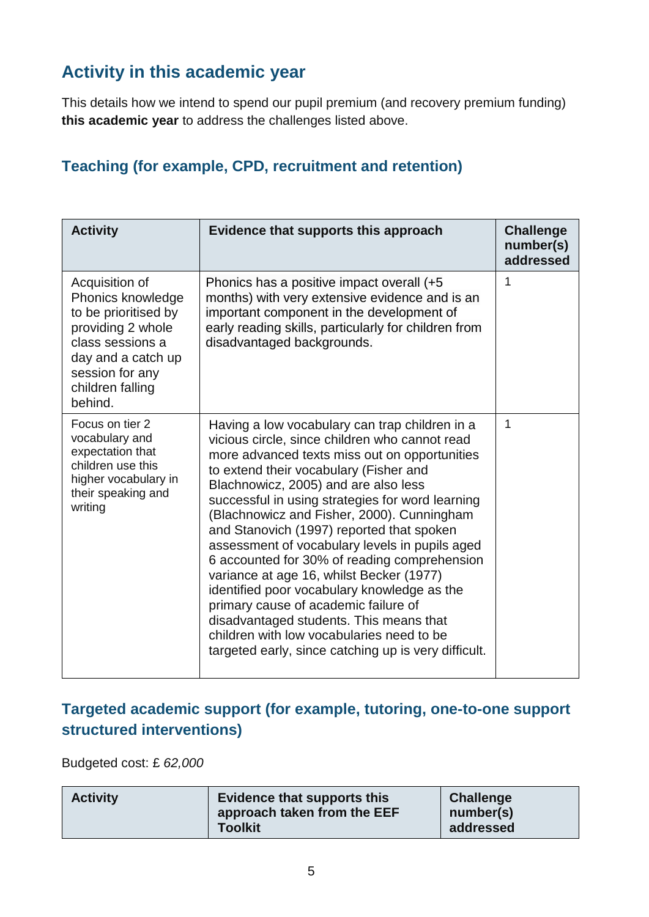## **Activity in this academic year**

This details how we intend to spend our pupil premium (and recovery premium funding) **this academic year** to address the challenges listed above.

#### **Teaching (for example, CPD, recruitment and retention)**

| <b>Activity</b>                                                                                                                                                              | Evidence that supports this approach                                                                                                                                                                                                                                                                                                                                                                                                                                                                                                                                                                                                                                                                                                                                    | <b>Challenge</b><br>number(s)<br>addressed |
|------------------------------------------------------------------------------------------------------------------------------------------------------------------------------|-------------------------------------------------------------------------------------------------------------------------------------------------------------------------------------------------------------------------------------------------------------------------------------------------------------------------------------------------------------------------------------------------------------------------------------------------------------------------------------------------------------------------------------------------------------------------------------------------------------------------------------------------------------------------------------------------------------------------------------------------------------------------|--------------------------------------------|
| Acquisition of<br>Phonics knowledge<br>to be prioritised by<br>providing 2 whole<br>class sessions a<br>day and a catch up<br>session for any<br>children falling<br>behind. | Phonics has a positive impact overall (+5<br>months) with very extensive evidence and is an<br>important component in the development of<br>early reading skills, particularly for children from<br>disadvantaged backgrounds.                                                                                                                                                                                                                                                                                                                                                                                                                                                                                                                                          | 1                                          |
| Focus on tier 2<br>vocabulary and<br>expectation that<br>children use this<br>higher vocabulary in<br>their speaking and<br>writing                                          | Having a low vocabulary can trap children in a<br>vicious circle, since children who cannot read<br>more advanced texts miss out on opportunities<br>to extend their vocabulary (Fisher and<br>Blachnowicz, 2005) and are also less<br>successful in using strategies for word learning<br>(Blachnowicz and Fisher, 2000). Cunningham<br>and Stanovich (1997) reported that spoken<br>assessment of vocabulary levels in pupils aged<br>6 accounted for 30% of reading comprehension<br>variance at age 16, whilst Becker (1977)<br>identified poor vocabulary knowledge as the<br>primary cause of academic failure of<br>disadvantaged students. This means that<br>children with low vocabularies need to be<br>targeted early, since catching up is very difficult. | 1                                          |

#### **Targeted academic support (for example, tutoring, one-to-one support structured interventions)**

Budgeted cost: £ *62,000*

| <b>Activity</b> | <b>Evidence that supports this</b><br>approach taken from the EEF<br><b>Toolkit</b> | <b>Challenge</b><br>number(s)<br>addressed |
|-----------------|-------------------------------------------------------------------------------------|--------------------------------------------|
|-----------------|-------------------------------------------------------------------------------------|--------------------------------------------|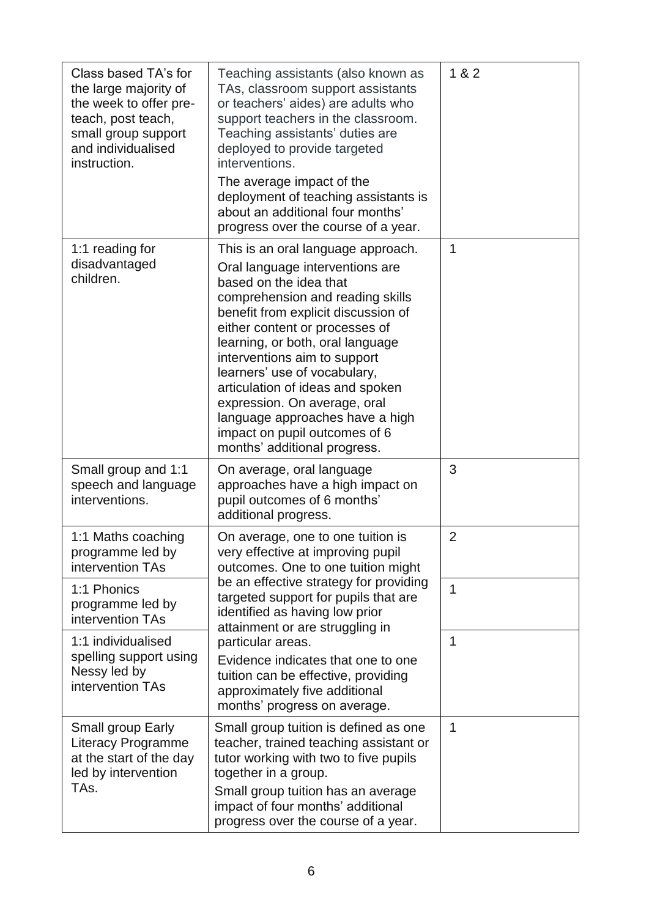| Class based TA's for<br>the large majority of<br>the week to offer pre-<br>teach, post teach,<br>small group support<br>and individualised<br>instruction. | Teaching assistants (also known as<br>TAs, classroom support assistants<br>or teachers' aides) are adults who<br>support teachers in the classroom.<br>Teaching assistants' duties are<br>deployed to provide targeted<br>interventions.<br>The average impact of the<br>deployment of teaching assistants is<br>about an additional four months'<br>progress over the course of a year.                                                                                                 | 1 & 82         |
|------------------------------------------------------------------------------------------------------------------------------------------------------------|------------------------------------------------------------------------------------------------------------------------------------------------------------------------------------------------------------------------------------------------------------------------------------------------------------------------------------------------------------------------------------------------------------------------------------------------------------------------------------------|----------------|
| 1:1 reading for<br>disadvantaged<br>children.                                                                                                              | This is an oral language approach.<br>Oral language interventions are<br>based on the idea that<br>comprehension and reading skills<br>benefit from explicit discussion of<br>either content or processes of<br>learning, or both, oral language<br>interventions aim to support<br>learners' use of vocabulary,<br>articulation of ideas and spoken<br>expression. On average, oral<br>language approaches have a high<br>impact on pupil outcomes of 6<br>months' additional progress. | 1              |
| Small group and 1:1<br>speech and language<br>interventions.                                                                                               | On average, oral language<br>approaches have a high impact on<br>pupil outcomes of 6 months'<br>additional progress.                                                                                                                                                                                                                                                                                                                                                                     | 3              |
| 1:1 Maths coaching<br>programme led by<br>intervention TAs                                                                                                 | On average, one to one tuition is<br>very effective at improving pupil<br>outcomes. One to one tuition might                                                                                                                                                                                                                                                                                                                                                                             | $\overline{2}$ |
| 1:1 Phonics<br>programme led by<br>intervention TAs                                                                                                        | be an effective strategy for providing<br>targeted support for pupils that are<br>identified as having low prior<br>attainment or are struggling in                                                                                                                                                                                                                                                                                                                                      | 1              |
| 1:1 individualised<br>spelling support using<br>Nessy led by<br>intervention TAs                                                                           | particular areas.<br>Evidence indicates that one to one<br>tuition can be effective, providing<br>approximately five additional<br>months' progress on average.                                                                                                                                                                                                                                                                                                                          | 1              |
| Small group Early<br><b>Literacy Programme</b><br>at the start of the day<br>led by intervention<br>TAs.                                                   | Small group tuition is defined as one<br>teacher, trained teaching assistant or<br>tutor working with two to five pupils<br>together in a group.<br>Small group tuition has an average<br>impact of four months' additional<br>progress over the course of a year.                                                                                                                                                                                                                       | 1              |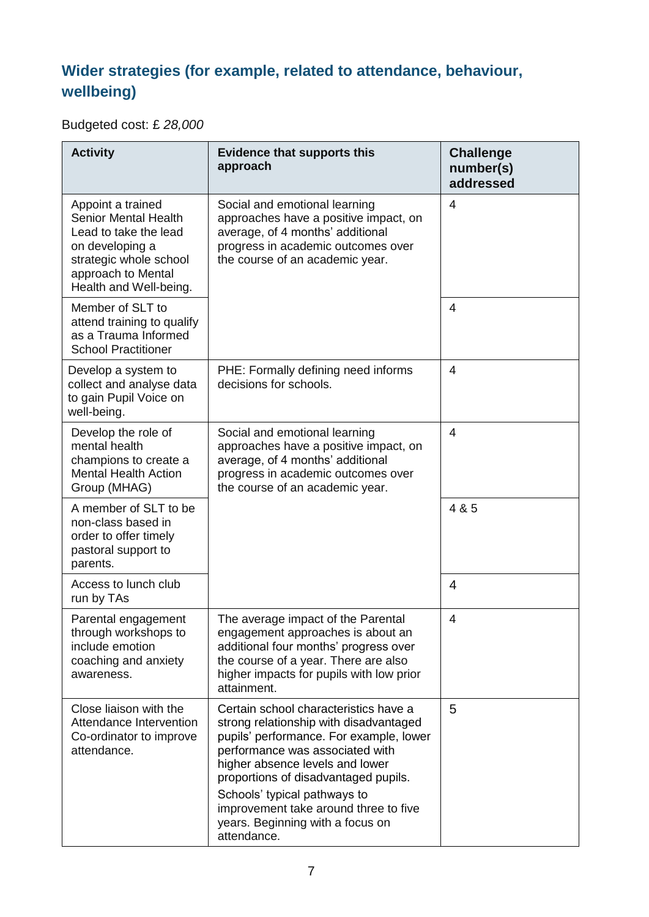## **Wider strategies (for example, related to attendance, behaviour, wellbeing)**

Budgeted cost: £ *28,000*

| <b>Activity</b>                                                                                                                                                        | <b>Evidence that supports this</b><br>approach                                                                                                                                                                                                                                                                                                                       | <b>Challenge</b><br>number(s)<br>addressed |
|------------------------------------------------------------------------------------------------------------------------------------------------------------------------|----------------------------------------------------------------------------------------------------------------------------------------------------------------------------------------------------------------------------------------------------------------------------------------------------------------------------------------------------------------------|--------------------------------------------|
| Appoint a trained<br><b>Senior Mental Health</b><br>Lead to take the lead<br>on developing a<br>strategic whole school<br>approach to Mental<br>Health and Well-being. | Social and emotional learning<br>approaches have a positive impact, on<br>average, of 4 months' additional<br>progress in academic outcomes over<br>the course of an academic year.                                                                                                                                                                                  | 4                                          |
| Member of SLT to<br>attend training to qualify<br>as a Trauma Informed<br><b>School Practitioner</b>                                                                   |                                                                                                                                                                                                                                                                                                                                                                      | 4                                          |
| Develop a system to<br>collect and analyse data<br>to gain Pupil Voice on<br>well-being.                                                                               | PHE: Formally defining need informs<br>decisions for schools.                                                                                                                                                                                                                                                                                                        | $\overline{4}$                             |
| Develop the role of<br>mental health<br>champions to create a<br><b>Mental Health Action</b><br>Group (MHAG)                                                           | Social and emotional learning<br>approaches have a positive impact, on<br>average, of 4 months' additional<br>progress in academic outcomes over<br>the course of an academic year.                                                                                                                                                                                  | $\overline{4}$                             |
| A member of SLT to be<br>non-class based in<br>order to offer timely<br>pastoral support to<br>parents.                                                                |                                                                                                                                                                                                                                                                                                                                                                      | 4 & 5                                      |
| Access to lunch club<br>run by TAs                                                                                                                                     |                                                                                                                                                                                                                                                                                                                                                                      | 4                                          |
| Parental engagement<br>through workshops to<br>include emotion<br>coaching and anxiety<br>awareness.                                                                   | The average impact of the Parental<br>engagement approaches is about an<br>additional four months' progress over<br>the course of a year. There are also<br>higher impacts for pupils with low prior<br>attainment.                                                                                                                                                  | 4                                          |
| Close liaison with the<br>Attendance Intervention<br>Co-ordinator to improve<br>attendance.                                                                            | Certain school characteristics have a<br>strong relationship with disadvantaged<br>pupils' performance. For example, lower<br>performance was associated with<br>higher absence levels and lower<br>proportions of disadvantaged pupils.<br>Schools' typical pathways to<br>improvement take around three to five<br>years. Beginning with a focus on<br>attendance. | 5                                          |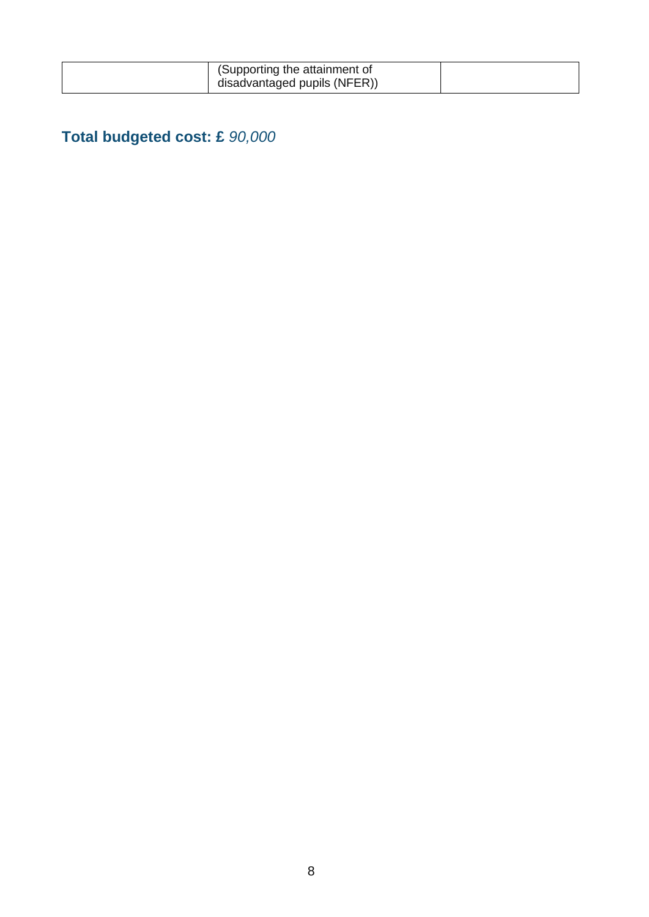| (Supporting the attainment of |  |
|-------------------------------|--|
| disadvantaged pupils (NFER))  |  |

# **Total budgeted cost: £** *90,000*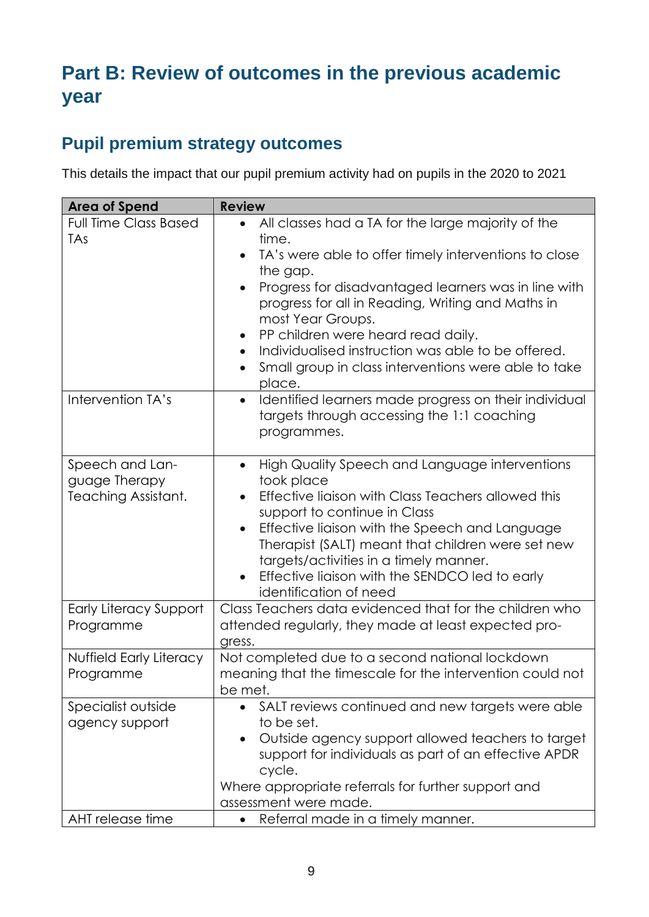# **Part B: Review of outcomes in the previous academic year**

### **Pupil premium strategy outcomes**

This details the impact that our pupil premium activity had on pupils in the 2020 to 2021

| <b>Area of Spend</b>                                     | <b>Review</b>                                                                                                                                                                                                                                                                                                                                                                                                                                                                        |  |
|----------------------------------------------------------|--------------------------------------------------------------------------------------------------------------------------------------------------------------------------------------------------------------------------------------------------------------------------------------------------------------------------------------------------------------------------------------------------------------------------------------------------------------------------------------|--|
| <b>Full Time Class Based</b><br>TAs                      | All classes had a TA for the large majority of the<br>$\bullet$<br>time.<br>TA's were able to offer timely interventions to close<br>the gap.<br>Progress for disadvantaged learners was in line with<br>$\bullet$<br>progress for all in Reading, Writing and Maths in<br>most Year Groups.<br>PP children were heard read daily.<br>$\bullet$<br>Individualised instruction was able to be offered.<br>$\bullet$<br>Small group in class interventions were able to take<br>place. |  |
| Intervention TA's                                        | Identified learners made progress on their individual<br>$\bullet$<br>targets through accessing the 1:1 coaching<br>programmes.                                                                                                                                                                                                                                                                                                                                                      |  |
| Speech and Lan-<br>guage Therapy<br>Teaching Assistant.  | High Quality Speech and Language interventions<br>$\bullet$<br>took place<br>Effective liaison with Class Teachers allowed this<br>$\bullet$<br>support to continue in Class<br>Effective liaison with the Speech and Language<br>$\bullet$<br>Therapist (SALT) meant that children were set new<br>targets/activities in a timely manner.<br>Effective liaison with the SENDCO led to early<br>identification of need                                                               |  |
| <b>Early Literacy Support</b><br>Programme               | Class Teachers data evidenced that for the children who<br>attended regularly, they made at least expected pro-<br>gress.                                                                                                                                                                                                                                                                                                                                                            |  |
| Nuffield Early Literacy<br>Programme                     | Not completed due to a second national lockdown<br>meaning that the timescale for the intervention could not<br>be met.                                                                                                                                                                                                                                                                                                                                                              |  |
| Specialist outside<br>agency support<br>AHT release time | SALT reviews continued and new targets were able<br>to be set.<br>Outside agency support allowed teachers to target<br>$\bullet$<br>support for individuals as part of an effective APDR<br>cycle.<br>Where appropriate referrals for further support and<br>assessment were made.<br>Referral made in a timely manner.<br>$\bullet$                                                                                                                                                 |  |